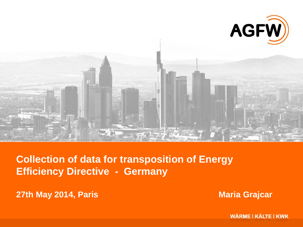

**Collection of data for transposition of Energy Efficiency Directive - Germany**

**27th May 2014, Paris Maria Grajcar Maria Grajcar** 

**WÄRME | KÄLTE | KWK**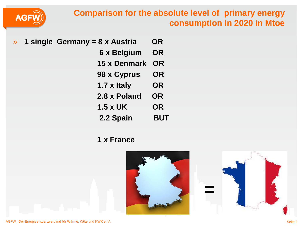## **Comparison for the absolute level of primary energy consumption in 2020 in Mtoe**



- » **1 single Germany = 8 x Austria OR 6 x Belgium OR 15 x Denmark OR 98 x Cyprus OR 1.7 x Italy OR 2.8 x Poland OR 1.5 x UK OR 2.2 Spain BUT** 
	- **1 x France**



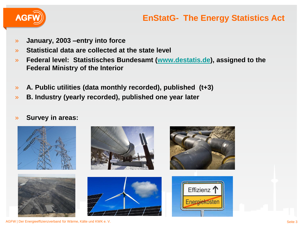

## **EnStatG- The Energy Statistics Act**

- » **January, 2003 –entry into force**
- » **Statistical data are collected at the state level**
- » **Federal level: Statistisches Bundesamt [\(www.destatis.de\)](http://www.destatis.de/), assigned to the Federal Ministry of the Interior**
- » **A. Public utilities (data monthly recorded), published (t+3)**
- » **B. Industry (yearly recorded), published one year later**
- » **Survey in areas:**

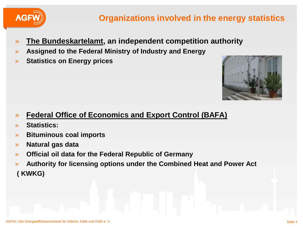

# **Organizations involved in the energy statistics**

- » **The Bundeskartelamt, an independent competition authority**
- » **Assigned to the Federal Ministry of Industry and Energy**
- » **Statistics on Energy prices**



- » **Federal Office of Economics and Export Control (BAFA)**
- » **Statistics:**
- » **Bituminous coal imports**
- » **Natural gas data**
- » **Official oil data for the Federal Republic of Germany**
- » **Authority for licensing options under the Combined Heat and Power Act ( KWKG)**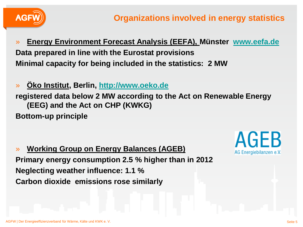

- » **Energy Environment Forecast Analysis (EEFA), Münster [www.eefa.de](http://www.eefa.de/) Data prepared in line with the Eurostat provisions Minimal capacity for being included in the statistics: 2 MW**
- » **Öko Institut, Berlin, [http://www.oeko.de](http://www.oeko.de/) registered data below 2 MW according to the Act on Renewable Energy (EEG) and the Act on CHP (KWKG) Bottom-up principle**

» **Working Group on Energy Balances (AGEB) Primary energy consumption 2.5 % higher than in 2012 Neglecting weather influence: 1.1 % Carbon dioxide emissions rose similarly**



AGEB

AG Energiebilanzen e.V.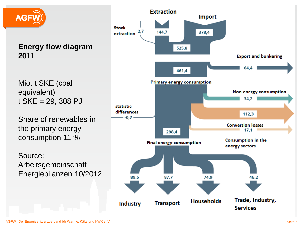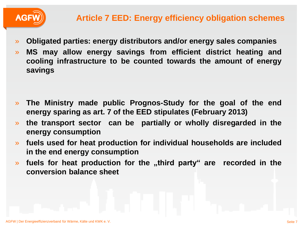

- » **Obligated parties: energy distributors and/or energy sales companies**
- » **MS may allow energy savings from efficient district heating and cooling infrastructure to be counted towards the amount of energy savings**

- » **The Ministry made public Prognos-Study for the goal of the end energy sparing as art. 7 of the EED stipulates (February 2013)**
- » **the transport sector can be partially or wholly disregarded in the energy consumption**
- » **fuels used for heat production for individual households are included in the end energy consumption**
- » **fuels for heat production for the "third party" are recorded in the conversion balance sheet**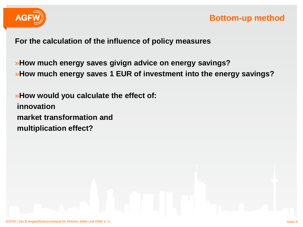

**For the calculation of the influence of policy measures**

»**How much energy saves givign advice on energy savings?** »**How much energy saves 1 EUR of investment into the energy savings?**

»**How would you calculate the effect of: innovation market transformation and multiplication effect?**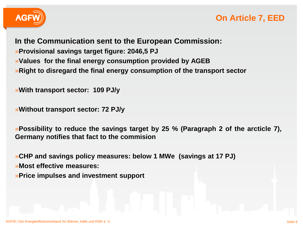

## **On Article 7, EED**

**In the Communication sent to the European Commission:** »**Provisional savings target figure: 2046,5 PJ** »**Values for the final energy consumption provided by AGEB** »**Right to disregard the final energy consumption of the transport sector**

»**With transport sector: 109 PJ/y**

»**Without transport sector: 72 PJ/y**

»**Possibility to reduce the savings target by 25 % (Paragraph 2 of the arcticle 7), Germany notifies that fact to the commision**

»**CHP and savings policy measures: below 1 MWe (savings at 17 PJ)**

»**Most effective measures:** 

»**Price impulses and investment support**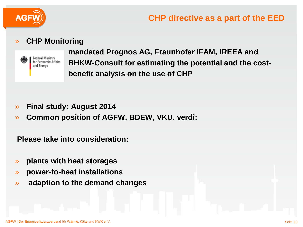

### » **CHP Monitoring**



» **mandated Prognos AG, Fraunhofer IFAM, IREEA and**  Federal Ministry<br>for Economic Affairs **BHKW-Consult for estimating the potential and the cost-**» **benefit analysis on the use of CHP** 

- » **Final study: August 2014**
- » **Common position of AGFW, BDEW, VKU, verdi:**

**Please take into consideration:**

- » **plants with heat storages**
- » **power-to-heat installations**
- » **adaption to the demand changes**